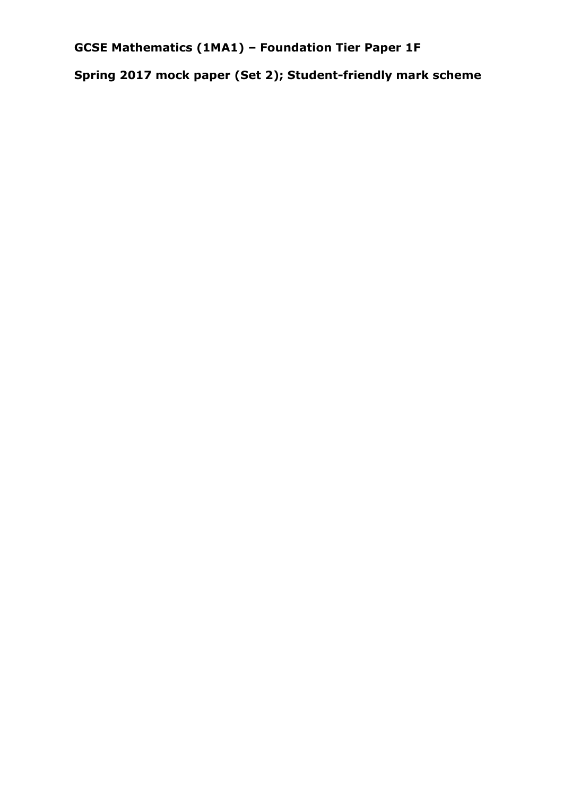**GCSE Mathematics (1MA1) – Foundation Tier Paper 1F**

**Spring 2017 mock paper (Set 2); Student-friendly mark scheme**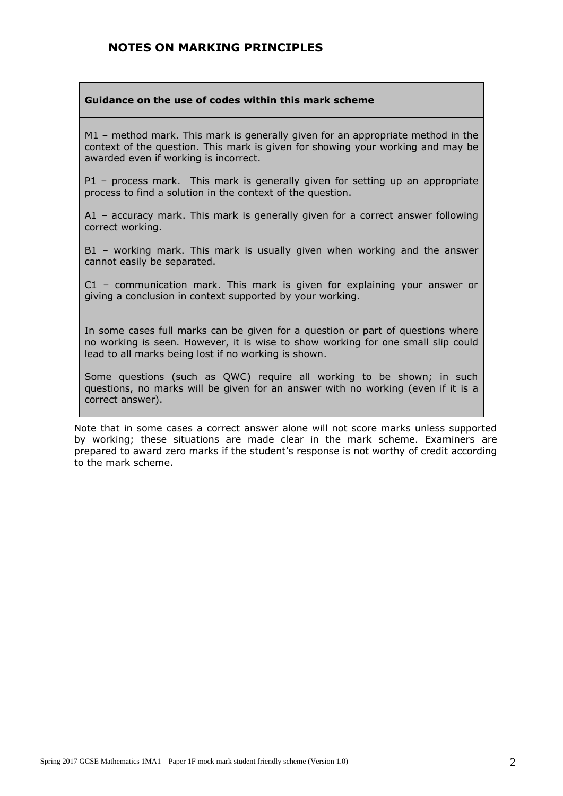#### **NOTES ON MARKING PRINCIPLES**

#### **Guidance on the use of codes within this mark scheme**

M1 – method mark. This mark is generally given for an appropriate method in the context of the question. This mark is given for showing your working and may be awarded even if working is incorrect.

P1 – process mark. This mark is generally given for setting up an appropriate process to find a solution in the context of the question.

A1 – accuracy mark. This mark is generally given for a correct answer following correct working.

B1 – working mark. This mark is usually given when working and the answer cannot easily be separated.

C1 – communication mark. This mark is given for explaining your answer or giving a conclusion in context supported by your working.

In some cases full marks can be given for a question or part of questions where no working is seen. However, it is wise to show working for one small slip could lead to all marks being lost if no working is shown.

Some questions (such as QWC) require all working to be shown; in such questions, no marks will be given for an answer with no working (even if it is a correct answer).

Note that in some cases a correct answer alone will not score marks unless supported by working; these situations are made clear in the mark scheme. Examiners are prepared to award zero marks if the student's response is not worthy of credit according to the mark scheme.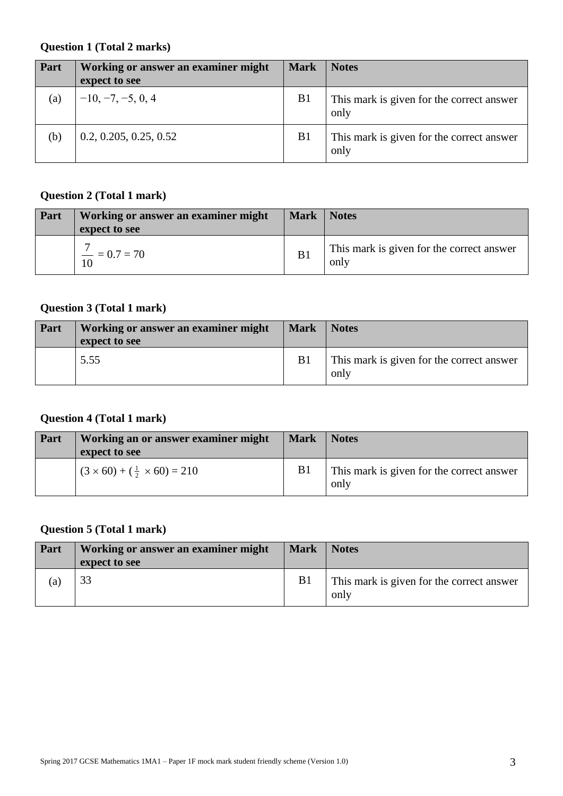#### **Question 1 (Total 2 marks)**

| Part | Working or answer an examiner might<br>expect to see | <b>Mark</b>    | <b>Notes</b>                                      |
|------|------------------------------------------------------|----------------|---------------------------------------------------|
| (a)  | $-10, -7, -5, 0, 4$                                  | B <sub>1</sub> | This mark is given for the correct answer<br>only |
| (b)  | 0.2, 0.205, 0.25, 0.52                               | B <sub>1</sub> | This mark is given for the correct answer<br>only |

#### **Question 2 (Total 1 mark)**

| Part | Working or answer an examiner might<br>expect to see | <b>Mark</b>    | <b>Notes</b>                                      |
|------|------------------------------------------------------|----------------|---------------------------------------------------|
|      | $\dot{ }$ $\dot{ }$ = 0.7 = 70<br>10                 | B <sub>1</sub> | This mark is given for the correct answer<br>only |

### **Question 3 (Total 1 mark)**

| <b>Part</b> | Working or answer an examiner might<br>expect to see | <b>Mark</b>    | <b>Notes</b>                                      |
|-------------|------------------------------------------------------|----------------|---------------------------------------------------|
|             | 5.55                                                 | B <sub>1</sub> | This mark is given for the correct answer<br>only |

#### **Question 4 (Total 1 mark)**

| Part | Working an or answer examiner might<br>expect to see | <b>Mark</b>    | <b>Notes</b>                                      |
|------|------------------------------------------------------|----------------|---------------------------------------------------|
|      | $(3 \times 60) + (\frac{1}{2} \times 60) = 210$      | B <sub>1</sub> | This mark is given for the correct answer<br>only |

#### **Question 5 (Total 1 mark)**

| Part | Working or answer an examiner might<br>expect to see | <b>Mark</b>    | <b>Notes</b>                                      |
|------|------------------------------------------------------|----------------|---------------------------------------------------|
| (a)  |                                                      | B <sub>1</sub> | This mark is given for the correct answer<br>only |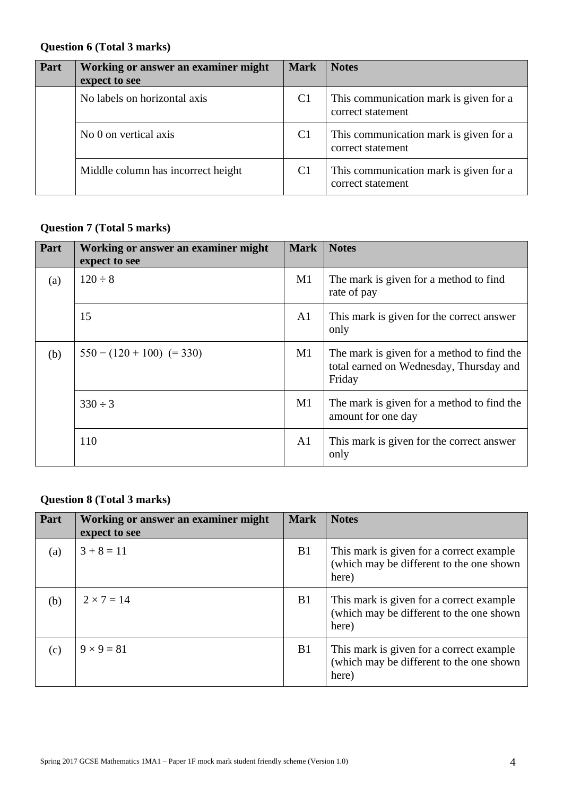#### **Question 6 (Total 3 marks)**

| Part | Working or answer an examiner might<br>expect to see | <b>Mark</b>    | <b>Notes</b>                                                |
|------|------------------------------------------------------|----------------|-------------------------------------------------------------|
|      | No labels on horizontal axis                         | C <sub>1</sub> | This communication mark is given for a<br>correct statement |
|      | No 0 on vertical axis                                | C <sub>1</sub> | This communication mark is given for a<br>correct statement |
|      | Middle column has incorrect height                   | C <sub>1</sub> | This communication mark is given for a<br>correct statement |

## **Question 7 (Total 5 marks)**

| Part | Working or answer an examiner might<br>expect to see | <b>Mark</b>    | <b>Notes</b>                                                                                    |
|------|------------------------------------------------------|----------------|-------------------------------------------------------------------------------------------------|
| (a)  | $120 \div 8$                                         | M1             | The mark is given for a method to find<br>rate of pay                                           |
|      | 15                                                   | A <sub>1</sub> | This mark is given for the correct answer<br>only                                               |
| (b)  | $550 - (120 + 100) (= 330)$                          | M1             | The mark is given for a method to find the<br>total earned on Wednesday, Thursday and<br>Friday |
|      | $330 \div 3$                                         | M1             | The mark is given for a method to find the<br>amount for one day                                |
|      | 110                                                  | A <sub>1</sub> | This mark is given for the correct answer<br>only                                               |

#### **Question 8 (Total 3 marks)**

| Part              | Working or answer an examiner might<br>expect to see | <b>Mark</b>    | <b>Notes</b>                                                                                   |
|-------------------|------------------------------------------------------|----------------|------------------------------------------------------------------------------------------------|
| $\left( a\right)$ | $3 + 8 = 11$                                         | B <sub>1</sub> | This mark is given for a correct example.<br>(which may be different to the one shown<br>here) |
| (b)               | $2 \times 7 = 14$                                    | B <sub>1</sub> | This mark is given for a correct example.<br>(which may be different to the one shown<br>here) |
| (c)               | $9 \times 9 = 81$                                    | B <sub>1</sub> | This mark is given for a correct example.<br>(which may be different to the one shown<br>here) |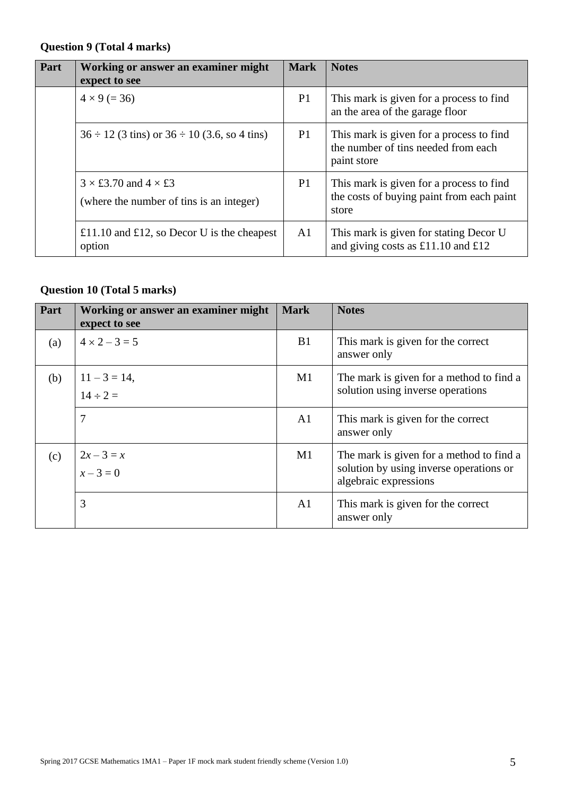## **Question 9 (Total 4 marks)**

| Part | Working or answer an examiner might<br>expect to see                           | <b>Mark</b>    | <b>Notes</b>                                                                                   |
|------|--------------------------------------------------------------------------------|----------------|------------------------------------------------------------------------------------------------|
|      | $4 \times 9 (= 36)$                                                            | P <sub>1</sub> | This mark is given for a process to find<br>an the area of the garage floor                    |
|      | $36 \div 12$ (3 tins) or $36 \div 10$ (3.6, so 4 tins)                         | P <sub>1</sub> | This mark is given for a process to find<br>the number of tins needed from each<br>paint store |
|      | $3 \times £3.70$ and $4 \times £3$<br>(where the number of tins is an integer) | P1             | This mark is given for a process to find<br>the costs of buying paint from each paint<br>store |
|      | £11.10 and £12, so Decor U is the cheapest<br>option                           | A <sub>1</sub> | This mark is given for stating Decor U<br>and giving costs as £11.10 and £12                   |

# **Question 10 (Total 5 marks)**

| Part | Working or answer an examiner might<br>expect to see | <b>Mark</b>    | <b>Notes</b>                                                                                                 |
|------|------------------------------------------------------|----------------|--------------------------------------------------------------------------------------------------------------|
| (a)  | $4 \times 2 - 3 = 5$                                 | B1             | This mark is given for the correct<br>answer only                                                            |
| (b)  | $11 - 3 = 14$ ,<br>$14 \div 2 =$                     | M1             | The mark is given for a method to find a<br>solution using inverse operations                                |
|      | 7                                                    | A <sub>1</sub> | This mark is given for the correct<br>answer only                                                            |
| (c)  | $2x-3=x$<br>$x-3=0$                                  | M1             | The mark is given for a method to find a<br>solution by using inverse operations or<br>algebraic expressions |
|      | 3                                                    | A <sub>1</sub> | This mark is given for the correct<br>answer only                                                            |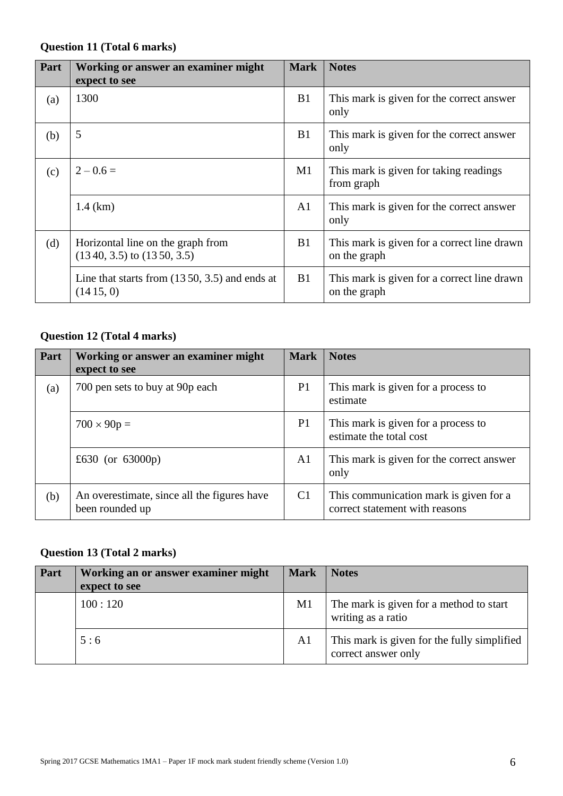#### **Question 11 (Total 6 marks)**

| Part | Working or answer an examiner might<br>expect to see                | <b>Mark</b>    | <b>Notes</b>                                                |
|------|---------------------------------------------------------------------|----------------|-------------------------------------------------------------|
| (a)  | 1300                                                                | B <sub>1</sub> | This mark is given for the correct answer<br>only           |
| (b)  | 5                                                                   | B1             | This mark is given for the correct answer<br>only           |
| (c)  | $2 - 0.6 =$                                                         | M1             | This mark is given for taking readings<br>from graph        |
|      | $1.4$ (km)                                                          | A <sub>1</sub> | This mark is given for the correct answer<br>only           |
| (d)  | Horizontal line on the graph from<br>$(1340, 3.5)$ to $(1350, 3.5)$ | B1             | This mark is given for a correct line drawn<br>on the graph |
|      | Line that starts from $(1350, 3.5)$ and ends at<br>(1415, 0)        | B <sub>1</sub> | This mark is given for a correct line drawn<br>on the graph |

#### **Question 12 (Total 4 marks)**

| Part | Working or answer an examiner might<br>expect to see           | <b>Mark</b>    | <b>Notes</b>                                                             |
|------|----------------------------------------------------------------|----------------|--------------------------------------------------------------------------|
| (a)  | 700 pen sets to buy at 90p each                                | P <sub>1</sub> | This mark is given for a process to<br>estimate                          |
|      | $700 \times 90p =$                                             | P <sub>1</sub> | This mark is given for a process to<br>estimate the total cost           |
|      | £630 (or 63000p)                                               | A1             | This mark is given for the correct answer<br>only                        |
| (b)  | An overestimate, since all the figures have<br>been rounded up | C <sub>1</sub> | This communication mark is given for a<br>correct statement with reasons |

#### **Question 13 (Total 2 marks)**

| Part | Working an or answer examiner might<br>expect to see | <b>Mark</b>    | <b>Notes</b>                                                       |
|------|------------------------------------------------------|----------------|--------------------------------------------------------------------|
|      | 100:120                                              | M1             | The mark is given for a method to start<br>writing as a ratio      |
|      | 5:6                                                  | A <sub>1</sub> | This mark is given for the fully simplified<br>correct answer only |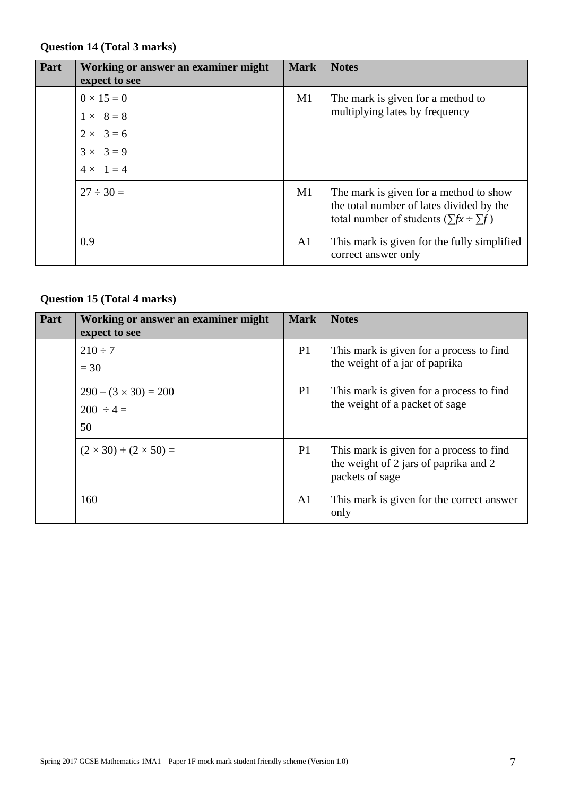## **Question 14 (Total 3 marks)**

| Part | Working or answer an examiner might<br>expect to see | <b>Mark</b>    | <b>Notes</b>                                                                                                                             |
|------|------------------------------------------------------|----------------|------------------------------------------------------------------------------------------------------------------------------------------|
|      | $0 \times 15 = 0$<br>$1 \times 8 = 8$                | M1             | The mark is given for a method to<br>multiplying lates by frequency                                                                      |
|      | $2 \times 3 = 6$<br>$3 \times 3 = 9$                 |                |                                                                                                                                          |
|      | $4 \times 1 = 4$                                     |                |                                                                                                                                          |
|      | $27 \div 30 =$                                       | M1             | The mark is given for a method to show<br>the total number of lates divided by the<br>total number of students ( $\sum fx \div \sum f$ ) |
|      | 0.9                                                  | A <sub>1</sub> | This mark is given for the fully simplified<br>correct answer only                                                                       |

## **Question 15 (Total 4 marks)**

| Part | Working or answer an examiner might<br>expect to see | <b>Mark</b>    | <b>Notes</b>                                                                                         |
|------|------------------------------------------------------|----------------|------------------------------------------------------------------------------------------------------|
|      | $210 \div 7$<br>$=$ 30                               | P <sub>1</sub> | This mark is given for a process to find<br>the weight of a jar of paprika                           |
|      | $290 - (3 \times 30) = 200$<br>$200 \div 4 =$<br>50  | P <sub>1</sub> | This mark is given for a process to find<br>the weight of a packet of sage                           |
|      | $(2 \times 30) + (2 \times 50) =$                    | P <sub>1</sub> | This mark is given for a process to find<br>the weight of 2 jars of paprika and 2<br>packets of sage |
|      | 160                                                  | A <sub>1</sub> | This mark is given for the correct answer<br>only                                                    |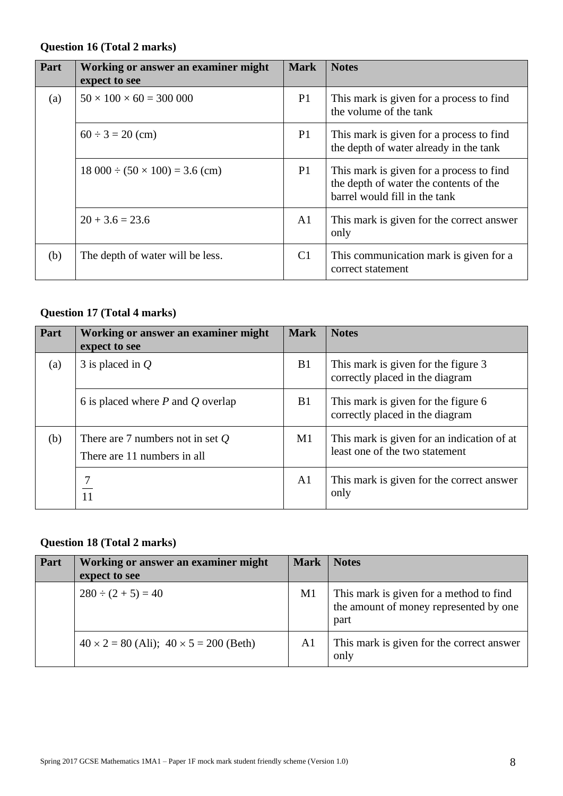#### **Question 16 (Total 2 marks)**

| Part | Working or answer an examiner might<br>expect to see | <b>Mark</b>    | <b>Notes</b>                                                                                                        |
|------|------------------------------------------------------|----------------|---------------------------------------------------------------------------------------------------------------------|
| (a)  | $50 \times 100 \times 60 = 300000$                   | P <sub>1</sub> | This mark is given for a process to find<br>the volume of the tank                                                  |
|      | $60 \div 3 = 20$ (cm)                                | P <sub>1</sub> | This mark is given for a process to find<br>the depth of water already in the tank                                  |
|      | $18\,000 \div (50 \times 100) = 3.6$ (cm)            | P1             | This mark is given for a process to find<br>the depth of water the contents of the<br>barrel would fill in the tank |
|      | $20 + 3.6 = 23.6$                                    | A <sub>1</sub> | This mark is given for the correct answer<br>only                                                                   |
| (b)  | The depth of water will be less.                     | C <sub>1</sub> | This communication mark is given for a<br>correct statement                                                         |

#### **Question 17 (Total 4 marks)**

| Part | Working or answer an examiner might<br>expect to see              | <b>Mark</b>    | <b>Notes</b>                                                                 |
|------|-------------------------------------------------------------------|----------------|------------------------------------------------------------------------------|
| (a)  | 3 is placed in $Q$                                                | B1             | This mark is given for the figure 3<br>correctly placed in the diagram       |
|      | 6 is placed where $P$ and $Q$ overlap                             | <b>B</b> 1     | This mark is given for the figure 6<br>correctly placed in the diagram       |
| (b)  | There are 7 numbers not in set $Q$<br>There are 11 numbers in all | $\mathbf{M}1$  | This mark is given for an indication of at<br>least one of the two statement |
|      | 11                                                                | A <sub>1</sub> | This mark is given for the correct answer<br>only                            |

#### **Question 18 (Total 2 marks)**

| Part | Working or answer an examiner might<br>expect to see | <b>Mark</b>    | <b>Notes</b>                                                                              |
|------|------------------------------------------------------|----------------|-------------------------------------------------------------------------------------------|
|      | $280 \div (2 + 5) = 40$                              | M1             | This mark is given for a method to find<br>the amount of money represented by one<br>part |
|      | $40 \times 2 = 80$ (Ali); $40 \times 5 = 200$ (Beth) | A <sub>1</sub> | This mark is given for the correct answer<br>only                                         |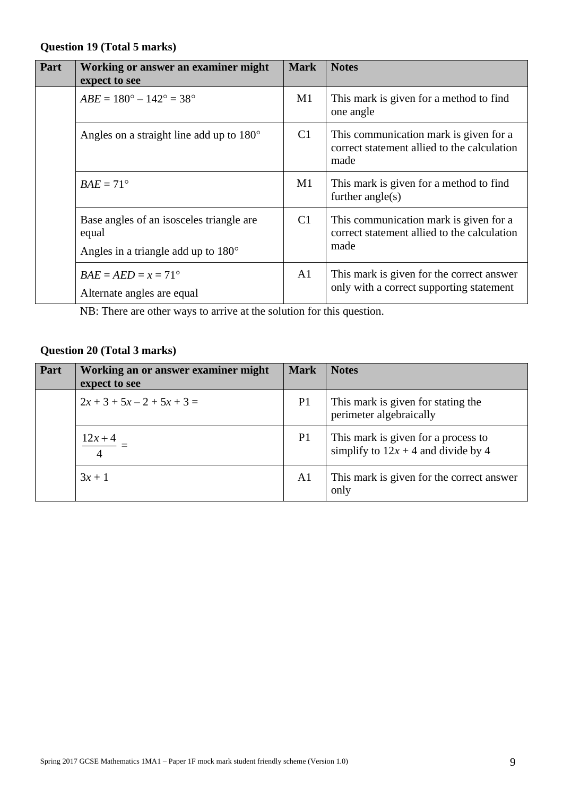#### **Question 19 (Total 5 marks)**

| Part | Working or answer an examiner might<br>expect to see                                              | <b>Mark</b> | <b>Notes</b>                                                                                  |
|------|---------------------------------------------------------------------------------------------------|-------------|-----------------------------------------------------------------------------------------------|
|      | $ABE = 180^{\circ} - 142^{\circ} = 38^{\circ}$                                                    | M1          | This mark is given for a method to find<br>one angle                                          |
|      | Angles on a straight line add up to 180°                                                          | C1          | This communication mark is given for a<br>correct statement allied to the calculation<br>made |
|      | $BAE = 71^{\circ}$                                                                                | M1          | This mark is given for a method to find<br>further $angle(s)$                                 |
|      | Base angles of an isosceles triangle are<br>equal<br>Angles in a triangle add up to $180^{\circ}$ | C1          | This communication mark is given for a<br>correct statement allied to the calculation<br>made |
|      | $BAE = AED = x = 71^{\circ}$<br>Alternate angles are equal                                        | A1          | This mark is given for the correct answer<br>only with a correct supporting statement         |

NB: There are other ways to arrive at the solution for this question.

## **Question 20 (Total 3 marks)**

| Part | Working an or answer examiner might<br>expect to see | <b>Mark</b>    | <b>Notes</b>                                                                 |
|------|------------------------------------------------------|----------------|------------------------------------------------------------------------------|
|      | $2x + 3 + 5x - 2 + 5x + 3 = 0$                       | P <sub>1</sub> | This mark is given for stating the<br>perimeter algebraically                |
|      | $12x + 4$<br>$\overline{4}$                          | P <sub>1</sub> | This mark is given for a process to<br>simplify to $12x + 4$ and divide by 4 |
|      | $3x + 1$                                             | A <sub>1</sub> | This mark is given for the correct answer<br>only                            |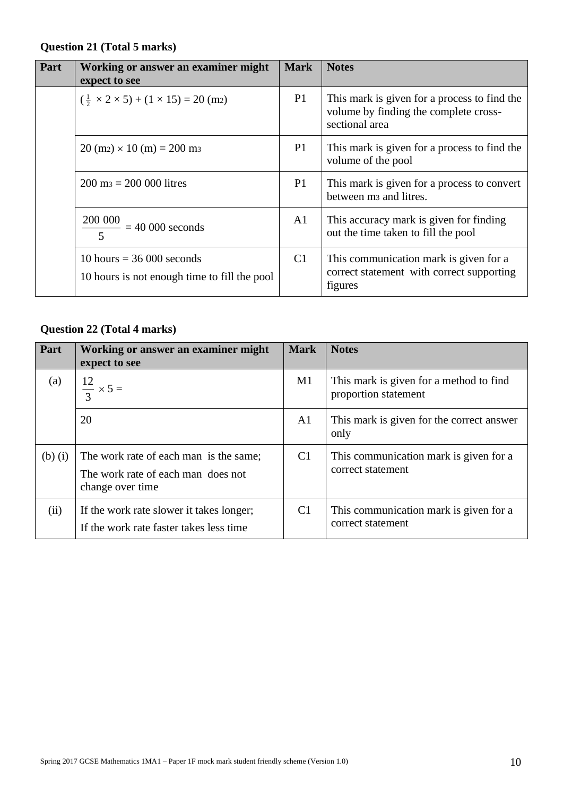#### **Question 21 (Total 5 marks)**

| Part | Working or answer an examiner might<br>expect to see                        | <b>Mark</b>    | <b>Notes</b>                                                                                            |
|------|-----------------------------------------------------------------------------|----------------|---------------------------------------------------------------------------------------------------------|
|      | $(\frac{1}{2} \times 2 \times 5) + (1 \times 15) = 20$ (m2)                 | P <sub>1</sub> | This mark is given for a process to find the<br>volume by finding the complete cross-<br>sectional area |
|      | $20 \text{ (m2)} \times 10 \text{ (m)} = 200 \text{ m}$                     | P <sub>1</sub> | This mark is given for a process to find the<br>volume of the pool                                      |
|      | $200 \text{ m} = 200\,000 \text{ litres}$                                   | P <sub>1</sub> | This mark is given for a process to convert<br>between m <sub>3</sub> and litres.                       |
|      | $\frac{200\ 000}{1000} = 40\ 000$ seconds                                   | A1             | This accuracy mark is given for finding<br>out the time taken to fill the pool                          |
|      | 10 hours $=$ 36 000 seconds<br>10 hours is not enough time to fill the pool | C <sub>1</sub> | This communication mark is given for a<br>correct statement with correct supporting<br>figures          |

## **Question 22 (Total 4 marks)**

| Part        | Working or answer an examiner might<br>expect to see                                             | <b>Mark</b>    | <b>Notes</b>                                                    |
|-------------|--------------------------------------------------------------------------------------------------|----------------|-----------------------------------------------------------------|
| (a)         | $\frac{12}{3} \times 5 =$                                                                        | M1             | This mark is given for a method to find<br>proportion statement |
|             | 20                                                                                               | A <sub>1</sub> | This mark is given for the correct answer<br>only               |
| $(b)$ $(i)$ | The work rate of each man is the same;<br>The work rate of each man does not<br>change over time | C <sub>1</sub> | This communication mark is given for a<br>correct statement     |
| (ii)        | If the work rate slower it takes longer;<br>If the work rate faster takes less time              | C <sub>1</sub> | This communication mark is given for a<br>correct statement     |